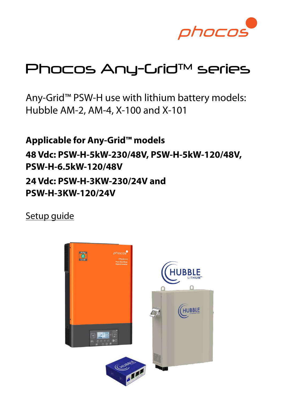

# Phocos Any-Grid™ series

Any-Grid™ PSW-H use with lithium battery models: Hubble AM-2, AM-4, X-100 and X-101

**Applicable for Any-Grid™ models 48 Vdc: PSW-H-5kW-230/48V, PSW-H-5kW-120/48V, PSW-H-6.5kW-120/48V 24 Vdc: PSW-H-3KW-230/24V and PSW-H-3KW-120/24V**

Setup quide

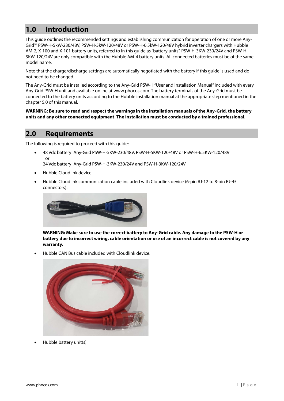# **1.0 Introduction**

This guide outlines the recommended settings and establishing communication for operation of one or more Any-Grid™ PSW-H-5kW-230/48V, PSW-H-5kW-120/48V or PSW-H-6.5kW-120/48V hybrid inverter chargers with Hubble AM-2, X-100 and X-101 battery units, referred to in this guide as "battery units". PSW-H-3KW-230/24V and PSW-H-3KW-120/24V are only compatible with the Hubble AM-4 battery units. All connected batteries must be of the same model name.

Note that the charge/discharge settings are automatically negotiated with the battery if this guide is used and do not need to be changed.

The Any-Grid must be installed according to the Any-Grid PSW-H "User and Installation Manual" included with every Any-Grid PSW-H unit and available online at [www.phocos.com.](http://www.phocos.com/) The battery terminals of the Any-Grid must be connected to the battery units according to the Hubble installation manual at the appropriate step mentioned in the chapter [5.0 o](#page-2-0)f this manual.

**WARNING: Be sure to read and respect the warnings in the installation manuals of the Any-Grid, the battery units and any other connected equipment. The installation must be conducted by a trained professional.**

#### **2.0 Requirements**

The following is required to proceed with this guide:

• 48 Vdc battery: Any-Grid PSW-H-5KW-230/48V, PSW-H-5KW-120/48V or PSW-H-6.5KW-120/48V or 24 Vdc battery: Any-Grid PSW-H-3KW-230/24V and PSW-H-3KW-120/24V

- Hubble Cloudlink device
- Hubble Cloudlink communication cable included with Cloudlink device (6-pin RJ-12 to 8-pin RJ-45 connectors):



**WARNING: Make sure to use the correct battery to Any-Grid cable. Any damage to the PSW-H or battery due to incorrect wiring, cable orientation or use of an incorrect cable is not covered by any warranty.**

• Hubble CAN Bus cable included with Cloudlink device:



• Hubble battery unit(s)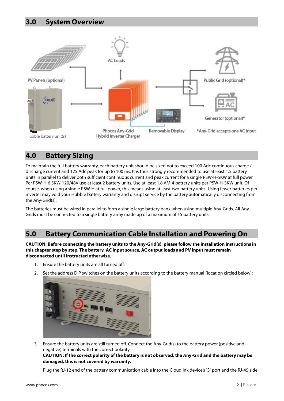

# **4.0 Battery Sizing**

To maintain the full battery warranty, each battery unit should be sized not to exceed 100 Adc continuous charge / discharge current and 125 Adc peak for up to 100 ms. It is thus strongly recommended to use at least 1.5 battery units in parallel to deliver both sufficient continuous current and peak current for a single PSW-H-5KW at full power. Per PSW-H-6.5KW-120/48V use at least 2 battery units. Use at least 1.8 AM-4 battery units per PSW-H-3KW unit. Of course, when using a single PSW-H at full power, this means using at least two battery units. Using fewer batteries per inverter may void your Hubble battery warranty and disrupt service by the battery automatically disconnecting from the Any-Grid(s).

The batteries must be wired in parallel to form a single large battery bank when using multiple Any-Grids. All Any-Grids must be connected to a single battery array made up of a maximum of 15 battery units.

### <span id="page-2-0"></span>**5.0 Battery Communication Cable Installation and Powering On**

**CAUTION: Before connecting the battery units to the Any-Grid(s), please follow the installation instructions in this chapter step by step. The battery, AC input source, AC output loads and PV input must remain disconnected until instructed otherwise.**

- 1. Ensure the battery units are all turned off.
- 2. Set the address DIP switches on the battery units according to the battery manual (location circled below):



3. Ensure the battery units are still turned off. Connect the Any-Grid(s) to the battery power (positive and negative) terminals with the correct polarity.

#### **CAUTION: If the correct polarity of the battery is not observed, the Any-Grid and the battery may be damaged, this is not covered by warranty.**

Plug the RJ-12 end of the battery communication cable into the Cloudlink device's "S" port and the RJ-45 side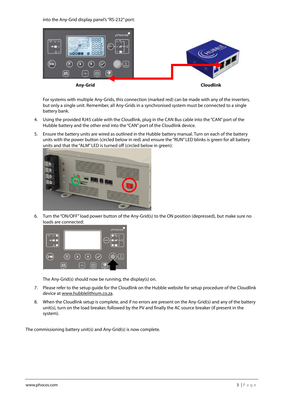into the Any-Grid display panel's "RS-232" port:



For systems with multiple Any-Grids, this connection (marked red) can be made with any of the inverters, but only a single unit. Remember, all Any-Grids in a synchronised system must be connected to a single battery bank.

- 4. Using the provided RJ45 cable with the Cloudlink, plug in the CAN Bus cable into the "CAN" port of the Hubble battery and the other end into the "CAN" port of the Cloudlink device.
- 5. Ensure the battery units are wired as outlined in the Hubble battery manual. Turn on each of the battery units with the power button (circled below in red) and ensure the "RUN" LED blinks is green for all battery units and that the "ALM" LED is turned off (circled below in green):



6. Turn the "ON/OFF" load power button of the Any-Grid(s) to the ON position (depressed), but make sure no loads are connected:



The Any-Grid(s) should now be running, the display(s) on.

- 7. Please refer to the setup guide for the Cloudlink on the Hubble website for setup procedure of the Cloudlink device a[t www.hubblelithium.co.za.](file:///C:/Users/SyberianWulff/Desktop/www.hubblelithium.co.za)
- 8. When the Cloudlink setup is complete, and if no errors are present on the Any-Grid(s) and any of the battery unit(s), turn on the load breaker, followed by the PV and finally the AC source breaker (if present in the system).

The commissioning battery unit(s) and Any-Grid(s) is now complete.